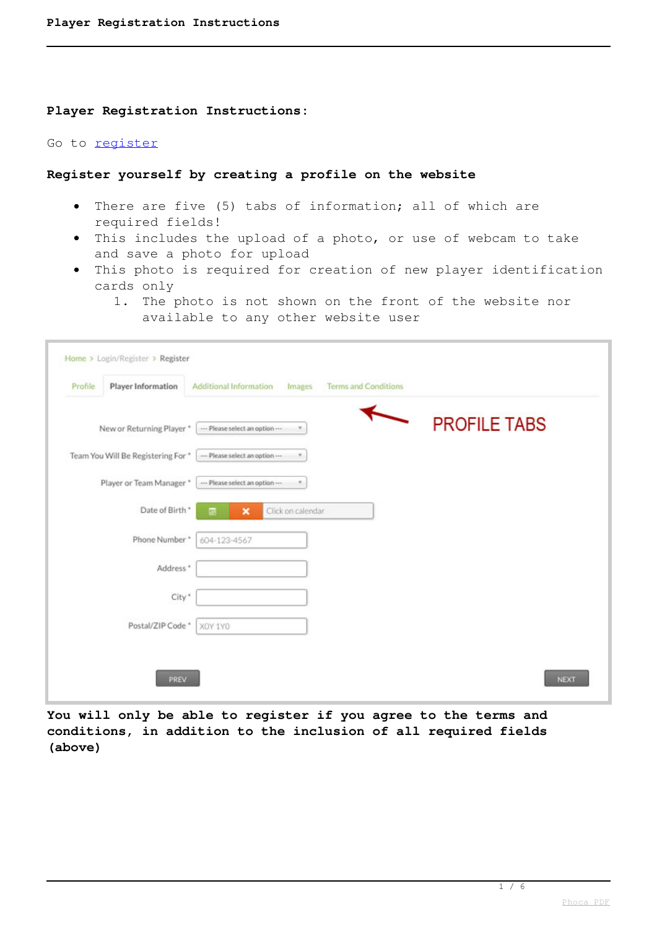#### **Player Registration Instructions:**

### Go to [register](component/users/?view=registration)

### **Register yourself by creating a profile on the website**

- There are five (5) tabs of information; all of which are required fields!
- This includes the upload of a photo, or use of webcam to take and save a photo for upload
- This photo is required for creation of new player identification cards only
	- 1. The photo is not shown on the front of the website nor available to any other website user

| Home > Login/Register > Register   |                                                                 |                     |
|------------------------------------|-----------------------------------------------------------------|---------------------|
| Player Information<br>Profile      | Additional Information<br><b>Terms and Conditions</b><br>Images |                     |
|                                    | New or Returning Player *   - Please select an option ---       | <b>PROFILE TABS</b> |
| Team You Will Be Registering For * | --- Please select an option ---                                 |                     |
| Player or Team Manager *           | --- Please select an option-                                    |                     |
| Date of Birth *                    | Click on calendar<br>$\boldsymbol{\mathsf{x}}$<br>m             |                     |
| Phone Number*                      | 604-123-4567                                                    |                     |
| Address *                          |                                                                 |                     |
| City*                              |                                                                 |                     |
| Postal/ZIP Code *                  | XOY 1YO                                                         |                     |
|                                    |                                                                 |                     |
| PREV                               |                                                                 | <b>NEXT</b>         |

**You will only be able to register if you agree to the terms and conditions, in addition to the inclusion of all required fields (above)**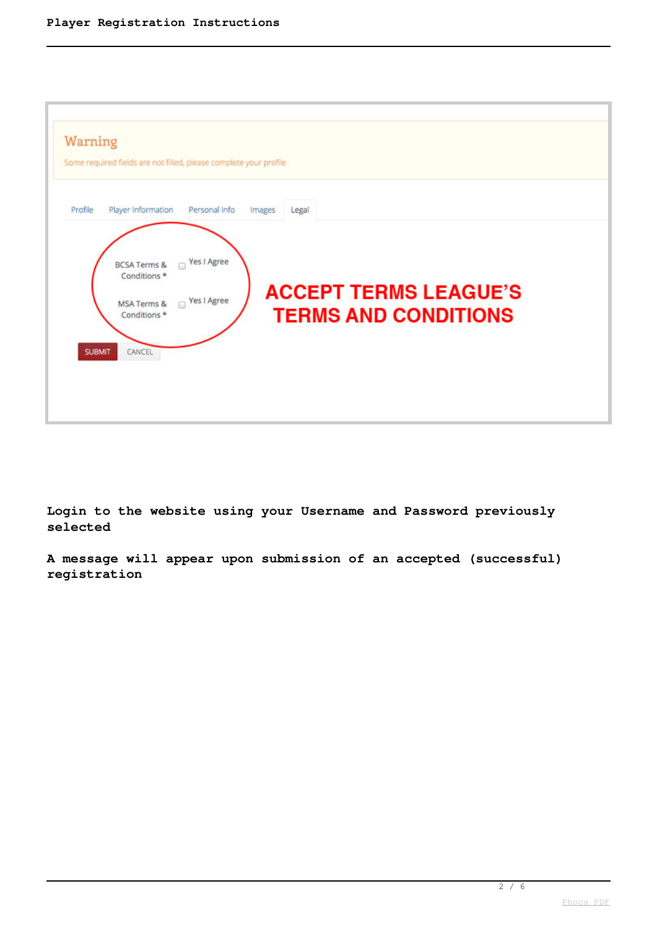| Warning       | Some required fields are not filled, please complete your profile                                                        |                                                             |  |
|---------------|--------------------------------------------------------------------------------------------------------------------------|-------------------------------------------------------------|--|
| Profile       | Player Information<br>Personal Info                                                                                      | Legal<br>Images                                             |  |
| <b>SUBMIT</b> | ■ Yes I Agree<br><b>BCSA Terms &amp;</b><br>Conditions*<br>Yes I Agree<br>MSA Terms &<br>$\Box$<br>Conditions*<br>CANCEL | <b>ACCEPT TERMS LEAGUE'S</b><br><b>TERMS AND CONDITIONS</b> |  |

**Login to the website using your Username and Password previously selected**

**A message will appear upon submission of an accepted (successful) registration**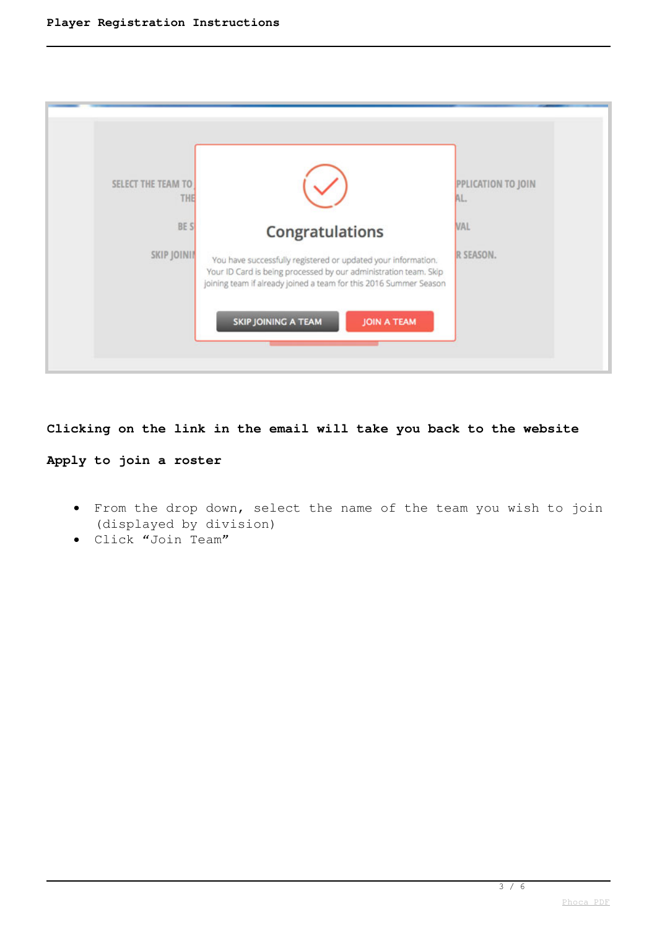| SELECT THE TEAM TO | Congratulations                                                   | PPLICATION TO JOIN |
|--------------------|-------------------------------------------------------------------|--------------------|
| <b>THE</b>         | You have successfully registered or updated your information.     | AL.                |
| BE S               | Your ID Card is being processed by our administration team. Skip  | VAL                |
| SKIP JOINII        | joining team if already joined a team for this 2016 Summer Season | R SEASON.          |
|                    | <b>SKIP JOINING A TEAM</b><br><b>JOIN A TEAM</b>                  |                    |

## **Clicking on the link in the email will take you back to the website**

# **Apply to join a roster**

- From the drop down, select the name of the team you wish to join (displayed by division)
- Click "Join Team"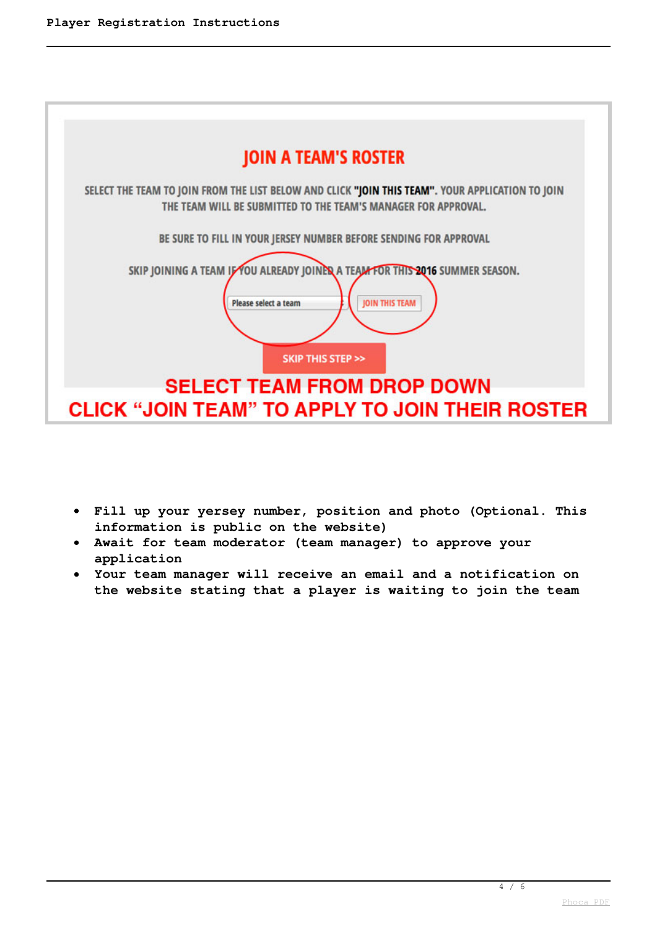

- **Fill up your yersey number, position and photo (Optional. This information is public on the website)**
- **Await for team moderator (team manager) to approve your application**
- **Your team manager will receive an email and a notification on the website stating that a player is waiting to join the team**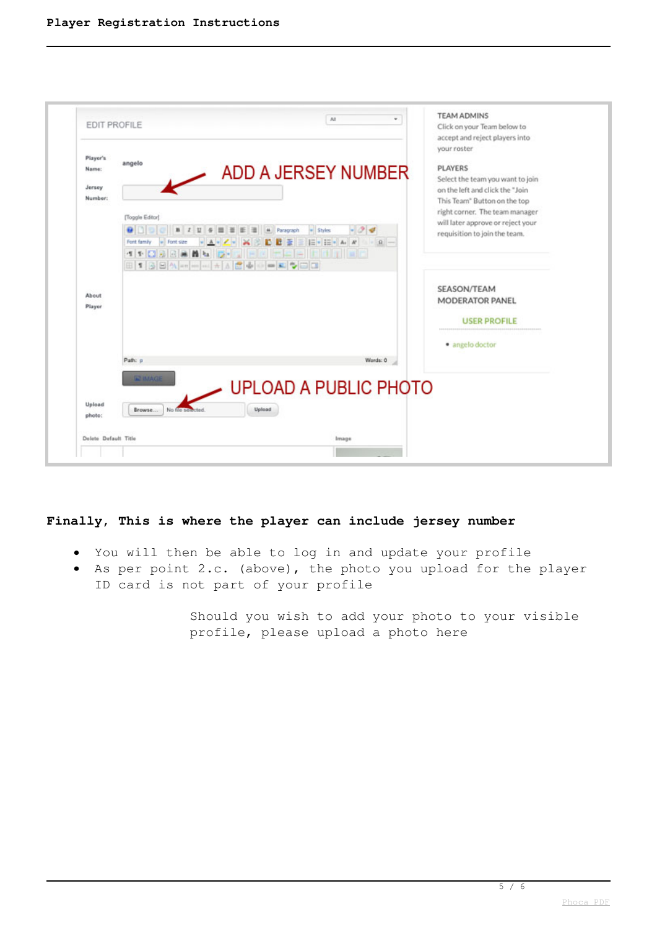

### **Finally, This is where the player can include jersey number**

- You will then be able to log in and update your profile
- As per point 2.c. (above), the photo you upload for the player  $\bullet$ ID card is not part of your profile

Should you wish to add your photo to your visible profile, please upload a photo here